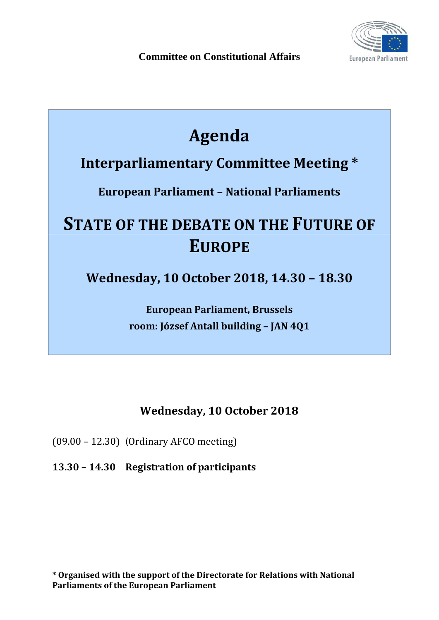

## **Agenda**

## **Interparliamentary Committee Meeting \***

**European Parliament – National Parliaments**

# **STATE OF THE DEBATE ON THE FUTURE OF EUROPE**

**Wednesday, 10 October 2018, 14.30 – 18.30**

**European Parliament, Brussels room: József Antall building – JAN 4Q1**

### **Wednesday, 10 October 2018**

(09.00 – 12.30) (Ordinary AFCO meeting)

**13.30 – 14.30 Registration of participants**

**\* Organised with the support of the Directorate for Relations with National Parliaments of the European Parliament**